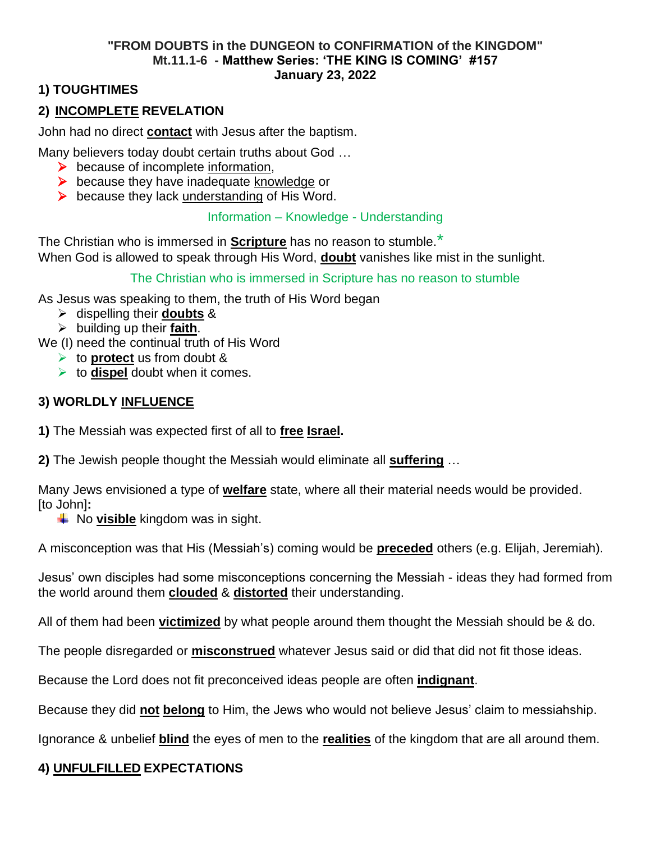#### **"FROM DOUBTS in the DUNGEON to CONFIRMATION of the KINGDOM" Mt.11.1-6 - Matthew Series: 'THE KING IS COMING' #157 January 23, 2022**

# **1) TOUGHTIMES**

# **2) INCOMPLETE REVELATION**

John had no direct **contact** with Jesus after the baptism.

Many believers today doubt certain truths about God …

- $\triangleright$  because of incomplete information,
- ➢ because they have inadequate knowledge or
- $\triangleright$  because they lack understanding of His Word.

### Information – Knowledge - Understanding

The Christian who is immersed in **Scripture** has no reason to stumble.\* When God is allowed to speak through His Word, **doubt** vanishes like mist in the sunlight.

### The Christian who is immersed in Scripture has no reason to stumble

As Jesus was speaking to them, the truth of His Word began

- ➢ dispelling their **doubts** &
- ➢ building up their **faith**.

We (I) need the continual truth of His Word

- ➢ to **protect** us from doubt &
- ➢ to **dispel** doubt when it comes.

### **3) WORLDLY INFLUENCE**

- **1)** The Messiah was expected first of all to **free Israel.**
- **2)** The Jewish people thought the Messiah would eliminate all **suffering** …

Many Jews envisioned a type of **welfare** state, where all their material needs would be provided. [to John]**:**

**↓** No **visible** kingdom was in sight.

A misconception was that His (Messiah's) coming would be **preceded** others (e.g. Elijah, Jeremiah).

Jesus' own disciples had some misconceptions concerning the Messiah - ideas they had formed from the world around them **clouded** & **distorted** their understanding.

All of them had been **victimized** by what people around them thought the Messiah should be & do.

The people disregarded or **misconstrued** whatever Jesus said or did that did not fit those ideas.

Because the Lord does not fit preconceived ideas people are often **indignant**.

Because they did **not belong** to Him, the Jews who would not believe Jesus' claim to messiahship.

Ignorance & unbelief **blind** the eyes of men to the **realities** of the kingdom that are all around them.

# **4) UNFULFILLED EXPECTATIONS**